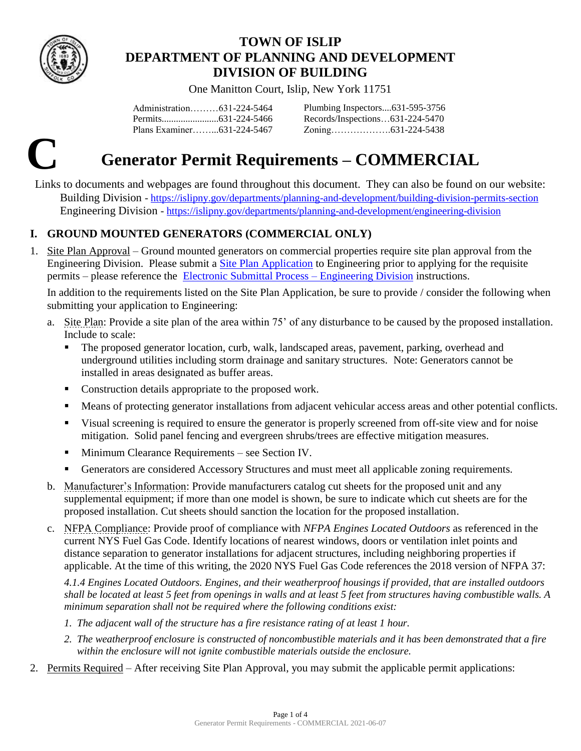

# **TOWN OF ISLIP DEPARTMENT OF PLANNING AND DEVELOPMENT DIVISION OF BUILDING**

One Manitton Court, Islip, New York 11751

Administration………631-224-5464 Permits........................631-224-5466 Plans Examiner……...631-224-5467 Plumbing Inspectors....631-595-3756 Records/Inspections…631-224-5470 Zoning……………….631-224-5438

# **C Generator Permit Requirements – COMMERCIAL**

Links to documents and webpages are found throughout this document. They can also be found on our website: Building Division - <https://islipny.gov/departments/planning-and-development/building-division-permits-section> Engineering Division - <https://islipny.gov/departments/planning-and-development/engineering-division>

# **I. GROUND MOUNTED GENERATORS (COMMERCIAL ONLY)**

1. Site Plan Approval – Ground mounted generators on commercial properties require site plan approval from the Engineering Division. Please submit a [Site Plan Application](https://islipny.gov/community-and-services/documents/planning-development/engineering/317-site-plan-application/file) to Engineering prior to applying for the requisite permits – please reference the [Electronic Submittal Process –](https://islipny.gov/community-and-services/documents/planning-development/engineering/987-document-upload-instructions-for-electronic-submissions-engineering/file) Engineering Division instructions.

In addition to the requirements listed on the Site Plan Application, be sure to provide / consider the following when submitting your application to Engineering:

- a. Site Plan: Provide a site plan of the area within 75' of any disturbance to be caused by the proposed installation. Include to scale:
	- The proposed generator location, curb, walk, landscaped areas, pavement, parking, overhead and underground utilities including storm drainage and sanitary structures. Note: Generators cannot be installed in areas designated as buffer areas.
	- Construction details appropriate to the proposed work.
	- Means of protecting generator installations from adjacent vehicular access areas and other potential conflicts.
	- Visual screening is required to ensure the generator is properly screened from off-site view and for noise mitigation. Solid panel fencing and evergreen shrubs/trees are effective mitigation measures.
	- **Minimum Clearance Requirements see Section IV.**
	- Generators are considered Accessory Structures and must meet all applicable zoning requirements.
- b. Manufacturer's Information: Provide manufacturers catalog cut sheets for the proposed unit and any supplemental equipment; if more than one model is shown, be sure to indicate which cut sheets are for the proposed installation. Cut sheets should sanction the location for the proposed installation.
- c. NFPA Compliance: Provide proof of compliance with *NFPA Engines Located Outdoors* as referenced in the current NYS Fuel Gas Code. Identify locations of nearest windows, doors or ventilation inlet points and distance separation to generator installations for adjacent structures, including neighboring properties if applicable. At the time of this writing, the 2020 NYS Fuel Gas Code references the 2018 version of NFPA 37:

*4.1.4 Engines Located Outdoors. Engines, and their weatherproof housings if provided, that are installed outdoors shall be located at least 5 feet from openings in walls and at least 5 feet from structures having combustible walls. A minimum separation shall not be required where the following conditions exist:*

- *1. The adjacent wall of the structure has a fire resistance rating of at least 1 hour.*
- *2. The weatherproof enclosure is constructed of noncombustible materials and it has been demonstrated that a fire within the enclosure will not ignite combustible materials outside the enclosure.*
- 2. Permits Required After receiving Site Plan Approval, you may submit the applicable permit applications: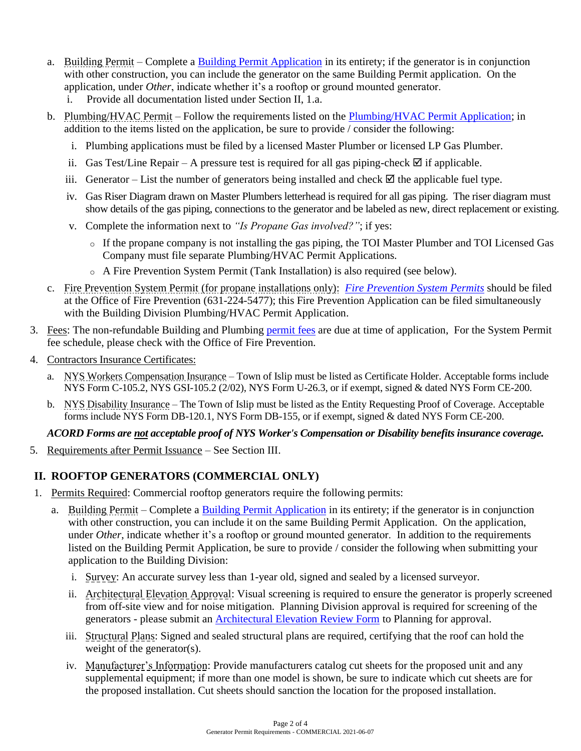- a. Building Permit Complete a [Building Permit Application](https://islipny.gov/building-division-permits-list/35-building-permit-application/file) in its entirety; if the generator is in conjunction with other construction, you can include the generator on the same Building Permit application. On the application, under *Other*, indicate whether it's a rooftop or ground mounted generator.
	- i. Provide all documentation listed under Section II, 1.a.
- b. Plumbing/HVAC Permit Follow the requirements listed on the [Plumbing/HVAC Permit Application;](https://islipny.gov/building-division-permits-list/32-plumbing-hvac-permit-application/file) in addition to the items listed on the application, be sure to provide / consider the following:
	- i. Plumbing applications must be filed by a licensed Master Plumber or licensed LP Gas Plumber.
	- ii. Gas Test/Line Repair A pressure test is required for all gas piping-check  $\mathbb Z$  if applicable.
	- iii. Generator List the number of generators being installed and check  $\boxtimes$  the applicable fuel type.
	- iv. Gas Riser Diagram drawn on Master Plumbers letterhead is required for all gas piping. The riser diagram must show details of the gas piping, connections to the generator and be labeled as new, direct replacement or existing.
	- v. Complete the information next to *"Is Propane Gas involved?"*; if yes:
		- $\circ$  If the propane company is not installing the gas piping, the TOI Master Plumber and TOI Licensed Gas Company must file separate Plumbing/HVAC Permit Applications.
		- o A Fire Prevention System Permit (Tank Installation) is also required (see below).
- c. [Fire Prevention System Permit](https://islipny.gov/departments/public-safety-enforcement/fire-prevention) (for propane installations only): *[Fire Prevention System Permits](https://islipny.gov/community-and-services/documents/fire-prevention-bureau/139-system-permit-application/file)* should be filed at the Office of Fire Prevention [\(631-224-5477\)](https://islipny.gov/departments/public-safety-enforcement/16312245477); this Fire Prevention Application can be filed simultaneously with the Building Division Plumbing/HVAC Permit Application.
- 3. Fees: The non-refundable Building and Plumbing [permit fees](https://www.islipny.gov/building-division-permits-list/49-fee-schedule-for-the-building-division-residential/file) are due at time of application, For the System Permit fee schedule, please check with the Office of Fire Prevention.
- 4. Contractors Insurance Certificates:
	- a. NYS Workers Compensation Insurance Town of Islip must be listed as Certificate Holder. Acceptable forms include NYS Form C-105.2, NYS GSI-105.2 (2/02), NYS Form U-26.3, or if exempt, signed & dated NYS Form CE-200.
	- b. NYS Disability Insurance The Town of Islip must be listed as the Entity Requesting Proof of Coverage. Acceptable forms include NYS Form DB-120.1, NYS Form DB-155, or if exempt, signed & dated NYS Form CE-200.

## *ACORD Forms are not acceptable proof of NYS Worker's Compensation or Disability benefits insurance coverage.*

5. Requirements after Permit Issuance – See Section III.

# **II. ROOFTOP GENERATORS (COMMERCIAL ONLY)**

- 1. Permits Required: Commercial rooftop generators require the following permits:
	- a. Building Permit Complete a [Building Permit Application](https://islipny.gov/building-division-permits-list/35-building-permit-application/file) in its entirety; if the generator is in conjunction with other construction, you can include it on the same Building Permit Application. On the application, under *Other*, indicate whether it's a rooftop or ground mounted generator. In addition to the requirements listed on the Building Permit Application, be sure to provide / consider the following when submitting your application to the Building Division:
		- i. Survey: An accurate survey less than 1-year old, signed and sealed by a licensed surveyor.
		- ii. Architectural Elevation Approval: Visual screening is required to ensure the generator is properly screened from off-site view and for noise mitigation. Planning Division approval is required for screening of the generators - please submit an [Architectural Elevation Review Form](https://islipny.gov/community-and-services/documents/planning-development/planning-division/960-architectural-elevation-review-form/file) to Planning for approval.
		- iii. Structural Plans: Signed and sealed structural plans are required, certifying that the roof can hold the weight of the generator(s).
		- iv. Manufacturer's Information: Provide manufacturers catalog cut sheets for the proposed unit and any supplemental equipment; if more than one model is shown, be sure to indicate which cut sheets are for the proposed installation. Cut sheets should sanction the location for the proposed installation.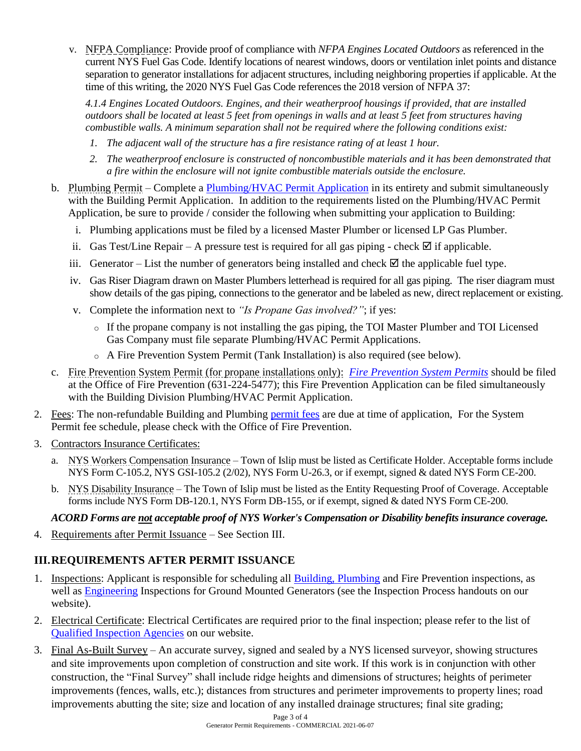v. NFPA Compliance: Provide proof of compliance with *NFPA Engines Located Outdoors* as referenced in the current NYS Fuel Gas Code. Identify locations of nearest windows, doors or ventilation inlet points and distance separation to generator installations for adjacent structures, including neighboring properties if applicable. At the time of this writing, the 2020 NYS Fuel Gas Code references the 2018 version of NFPA 37:

*4.1.4 Engines Located Outdoors. Engines, and their weatherproof housings if provided, that are installed outdoors shall be located at least 5 feet from openings in walls and at least 5 feet from structures having combustible walls. A minimum separation shall not be required where the following conditions exist:*

- *1. The adjacent wall of the structure has a fire resistance rating of at least 1 hour.*
- *2. The weatherproof enclosure is constructed of noncombustible materials and it has been demonstrated that a fire within the enclosure will not ignite combustible materials outside the enclosure.*
- b. Plumbing Permit Complete a [Plumbing/HVAC Permit Application](https://islipny.gov/building-division-permits-list/32-plumbing-hvac-permit-application/file) in its entirety and submit simultaneously with the Building Permit Application. In addition to the requirements listed on the Plumbing/HVAC Permit Application, be sure to provide / consider the following when submitting your application to Building:
	- i. Plumbing applications must be filed by a licensed Master Plumber or licensed LP Gas Plumber.
	- ii. Gas Test/Line Repair A pressure test is required for all gas piping check  $\boxtimes$  if applicable.
	- iii. Generator List the number of generators being installed and check  $\boxtimes$  the applicable fuel type.
	- iv. Gas Riser Diagram drawn on Master Plumbers letterhead is required for all gas piping. The riser diagram must show details of the gas piping, connections to the generator and be labeled as new, direct replacement or existing.
	- v. Complete the information next to *"Is Propane Gas involved?"*; if yes:
		- o If the propane company is not installing the gas piping, the TOI Master Plumber and TOI Licensed Gas Company must file separate Plumbing/HVAC Permit Applications.
		- o A Fire Prevention System Permit (Tank Installation) is also required (see below).
- c. [Fire Prevention System Permit](https://islipny.gov/departments/public-safety-enforcement/fire-prevention) (for propane installations only): *[Fire Prevention System Permits](https://islipny.gov/community-and-services/documents/fire-prevention-bureau/139-system-permit-application/file)* should be filed at the Office of Fire Prevention [\(631-224-5477\)](https://islipny.gov/departments/public-safety-enforcement/16312245477); this Fire Prevention Application can be filed simultaneously with the Building Division Plumbing/HVAC Permit Application.
- 2. Fees: The non-refundable Building and Plumbing [permit fees](https://www.islipny.gov/building-division-permits-list/49-fee-schedule-for-the-building-division-residential/file) are due at time of application, For the System Permit fee schedule, please check with the Office of Fire Prevention.
- 3. Contractors Insurance Certificates:
	- a. NYS Workers Compensation Insurance Town of Islip must be listed as Certificate Holder. Acceptable forms include NYS Form C-105.2, NYS GSI-105.2 (2/02), NYS Form U-26.3, or if exempt, signed & dated NYS Form CE-200.
	- b. NYS Disability Insurance The Town of Islip must be listed as the Entity Requesting Proof of Coverage. Acceptable forms include NYS Form DB-120.1, NYS Form DB-155, or if exempt, signed & dated NYS Form CE-200.

#### *ACORD Forms are not acceptable proof of NYS Worker's Compensation or Disability benefits insurance coverage.*

4. Requirements after Permit Issuance – See Section III.

## **III.REQUIREMENTS AFTER PERMIT ISSUANCE**

- 1. Inspections: Applicant is responsible for scheduling all **Building, Plumbing** and Fire Prevention inspections, as well as [Engineering](https://islipny.gov/community-and-services/documents/planning-development/engineering/877-inspection-process-engineering/file) Inspections for Ground Mounted Generators (see the Inspection Process handouts on our website).
- 2. Electrical Certificate: Electrical Certificates are required prior to the final inspection; please refer to the list of [Qualified Inspection Agencies](https://islipny.gov/building-division-permits-list/42-electrical-certificates/file) on our website.
- 3. Final As-Built Survey An accurate survey, signed and sealed by a NYS licensed surveyor, showing structures and site improvements upon completion of construction and site work. If this work is in conjunction with other construction, the "Final Survey" shall include ridge heights and dimensions of structures; heights of perimeter improvements (fences, walls, etc.); distances from structures and perimeter improvements to property lines; road improvements abutting the site; size and location of any installed drainage structures; final site grading;